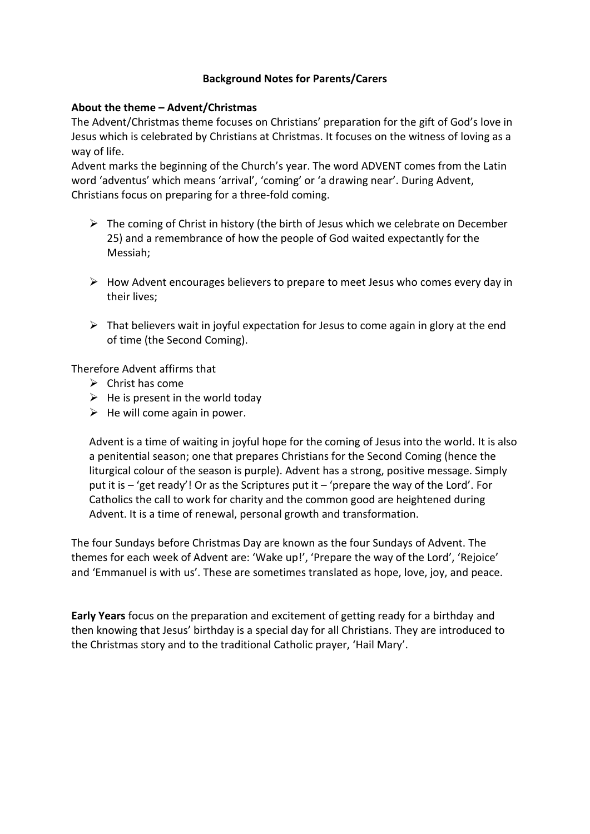#### **Background Notes for Parents/Carers**

#### **About the theme – Advent/Christmas**

The Advent/Christmas theme focuses on Christians' preparation for the gift of God's love in Jesus which is celebrated by Christians at Christmas. It focuses on the witness of loving as a way of life.

Advent marks the beginning of the Church's year. The word ADVENT comes from the Latin word 'adventus' which means 'arrival', 'coming' or 'a drawing near'. During Advent, Christians focus on preparing for a three-fold coming.

- $\triangleright$  The coming of Christ in history (the birth of Jesus which we celebrate on December 25) and a remembrance of how the people of God waited expectantly for the Messiah;
- $\triangleright$  How Advent encourages believers to prepare to meet Jesus who comes every day in their lives;
- $\triangleright$  That believers wait in joyful expectation for Jesus to come again in glory at the end of time (the Second Coming).

Therefore Advent affirms that

- $\triangleright$  Christ has come
- $\triangleright$  He is present in the world today
- $\triangleright$  He will come again in power.

Advent is a time of waiting in joyful hope for the coming of Jesus into the world. It is also a penitential season; one that prepares Christians for the Second Coming (hence the liturgical colour of the season is purple). Advent has a strong, positive message. Simply put it is – 'get ready'! Or as the Scriptures put it – 'prepare the way of the Lord'. For Catholics the call to work for charity and the common good are heightened during Advent. It is a time of renewal, personal growth and transformation.

The four Sundays before Christmas Day are known as the four Sundays of Advent. The themes for each week of Advent are: 'Wake up!', 'Prepare the way of the Lord', 'Rejoice' and 'Emmanuel is with us'. These are sometimes translated as hope, love, joy, and peace.

**Early Years** focus on the preparation and excitement of getting ready for a birthday and then knowing that Jesus' birthday is a special day for all Christians. They are introduced to the Christmas story and to the traditional Catholic prayer, 'Hail Mary'.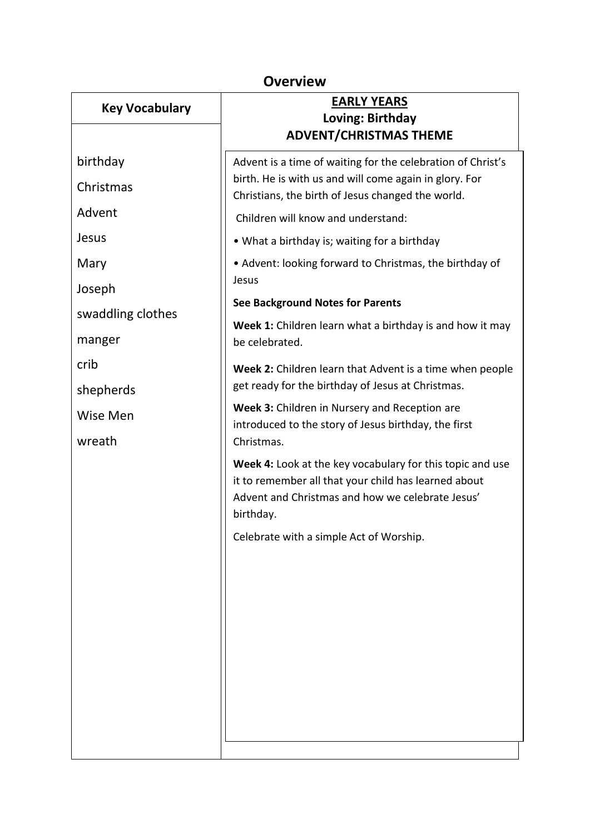| Overview              |                                                                                                                       |
|-----------------------|-----------------------------------------------------------------------------------------------------------------------|
| <b>Key Vocabulary</b> | <b>EARLY YEARS</b>                                                                                                    |
|                       | Loving: Birthday<br><b>ADVENT/CHRISTMAS THEME</b>                                                                     |
|                       |                                                                                                                       |
| birthday              | Advent is a time of waiting for the celebration of Christ's<br>birth. He is with us and will come again in glory. For |
| Christmas             | Christians, the birth of Jesus changed the world.                                                                     |
| Advent                | Children will know and understand:                                                                                    |
| Jesus                 | • What a birthday is; waiting for a birthday                                                                          |
| Mary                  | • Advent: looking forward to Christmas, the birthday of                                                               |
| Joseph                | Jesus                                                                                                                 |
| swaddling clothes     | <b>See Background Notes for Parents</b>                                                                               |
| manger                | Week 1: Children learn what a birthday is and how it may<br>be celebrated.                                            |
| crib                  | Week 2: Children learn that Advent is a time when people                                                              |
| shepherds             | get ready for the birthday of Jesus at Christmas.                                                                     |
| Wise Men              | Week 3: Children in Nursery and Reception are<br>introduced to the story of Jesus birthday, the first                 |
| wreath                | Christmas.                                                                                                            |
|                       | Week 4: Look at the key vocabulary for this topic and use                                                             |
|                       | it to remember all that your child has learned about                                                                  |
|                       | Advent and Christmas and how we celebrate Jesus'<br>birthday.                                                         |
|                       | Celebrate with a simple Act of Worship.                                                                               |
|                       |                                                                                                                       |
|                       |                                                                                                                       |
|                       |                                                                                                                       |
|                       |                                                                                                                       |
|                       |                                                                                                                       |
|                       |                                                                                                                       |
|                       |                                                                                                                       |
|                       |                                                                                                                       |
|                       |                                                                                                                       |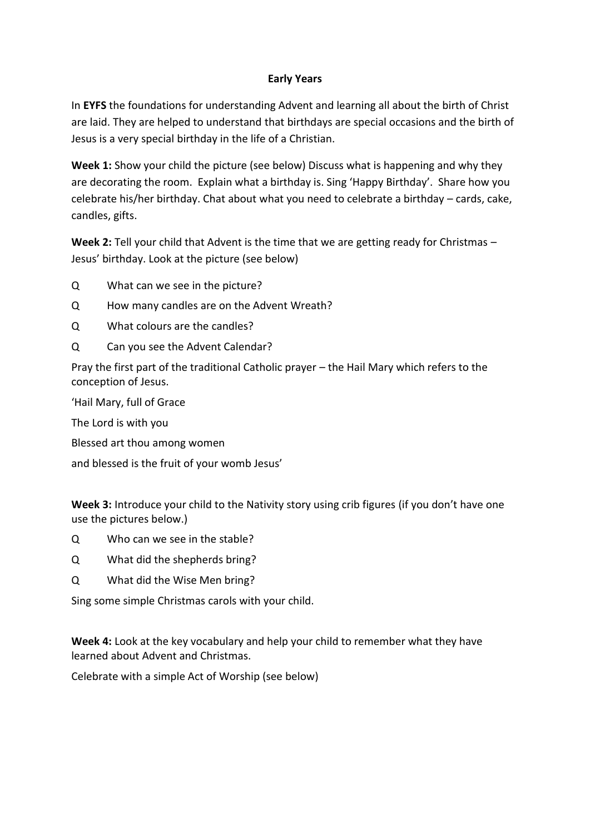### **Early Years**

In **EYFS** the foundations for understanding Advent and learning all about the birth of Christ are laid. They are helped to understand that birthdays are special occasions and the birth of Jesus is a very special birthday in the life of a Christian.

**Week 1:** Show your child the picture (see below) Discuss what is happening and why they are decorating the room. Explain what a birthday is. Sing 'Happy Birthday'. Share how you celebrate his/her birthday. Chat about what you need to celebrate a birthday – cards, cake, candles, gifts.

**Week 2:** Tell your child that Advent is the time that we are getting ready for Christmas – Jesus' birthday. Look at the picture (see below)

- Q What can we see in the picture?
- Q How many candles are on the Advent Wreath?
- Q What colours are the candles?
- Q Can you see the Advent Calendar?

Pray the first part of the traditional Catholic prayer – the Hail Mary which refers to the conception of Jesus.

'Hail Mary, full of Grace

The Lord is with you

Blessed art thou among women

and blessed is the fruit of your womb Jesus'

**Week 3:** Introduce your child to the Nativity story using crib figures (if you don't have one use the pictures below.)

- Q Who can we see in the stable?
- Q What did the shepherds bring?
- Q What did the Wise Men bring?

Sing some simple Christmas carols with your child.

**Week 4:** Look at the key vocabulary and help your child to remember what they have learned about Advent and Christmas.

Celebrate with a simple Act of Worship (see below)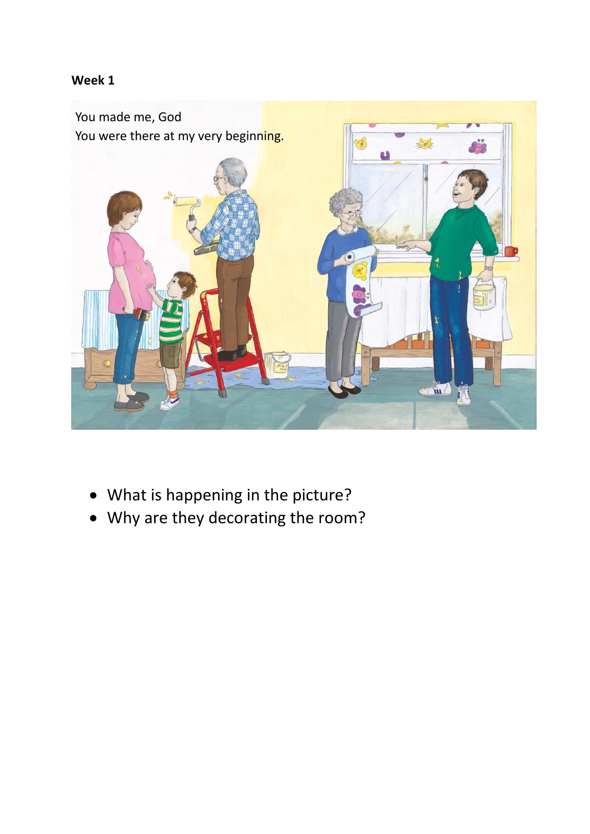## **Week 1**



- What is happening in the picture?
- Why are they decorating the room?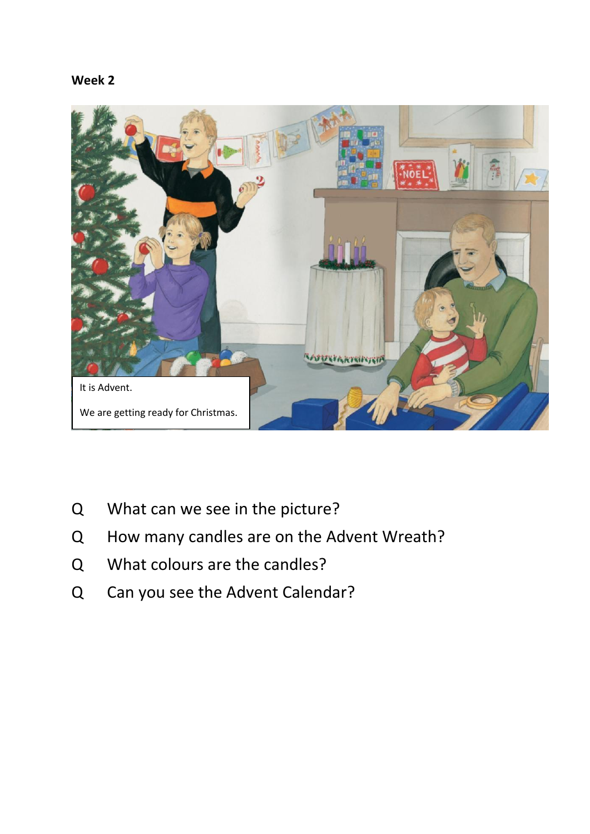```
Week 2
```


- Q What can we see in the picture?
- Q How many candles are on the Advent Wreath?
- Q What colours are the candles?
- Q Can you see the Advent Calendar?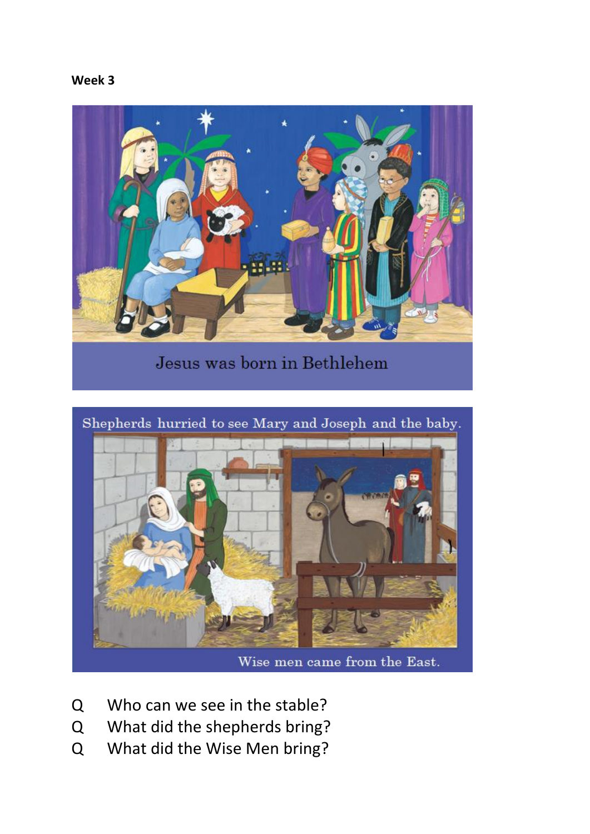



Jesus was born in Bethlehem



Wise men came from the East.

- Q Who can we see in the stable?
- Q What did the shepherds bring?
- Q What did the Wise Men bring?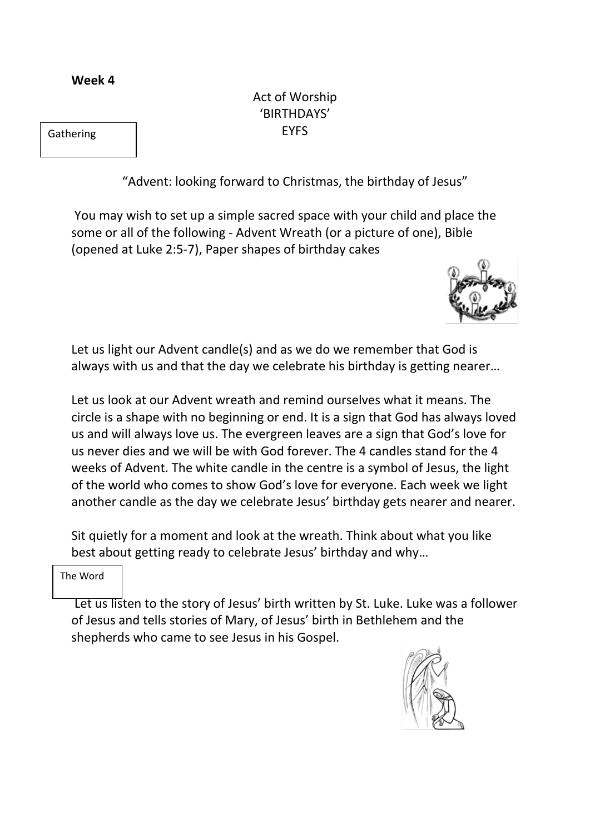**Week 4**

# Act of Worship 'BIRTHDAYS' EYFS

### **Gathering**

"Advent: looking forward to Christmas, the birthday of Jesus"

You may wish to set up a simple sacred space with your child and place the some or all of the following - Advent Wreath (or a picture of one), Bible (opened at Luke 2:5-7), Paper shapes of birthday cakes



Let us light our Advent candle(s) and as we do we remember that God is always with us and that the day we celebrate his birthday is getting nearer…

Let us look at our Advent wreath and remind ourselves what it means. The circle is a shape with no beginning or end. It is a sign that God has always loved us and will always love us. The evergreen leaves are a sign that God's love for us never dies and we will be with God forever. The 4 candles stand for the 4 weeks of Advent. The white candle in the centre is a symbol of Jesus, the light of the world who comes to show God's love for everyone. Each week we light another candle as the day we celebrate Jesus' birthday gets nearer and nearer.

Sit quietly for a moment and look at the wreath. Think about what you like best about getting ready to celebrate Jesus' birthday and why…

The Word

Let us listen to the story of Jesus' birth written by St. Luke. Luke was a follower of Jesus and tells stories of Mary, of Jesus' birth in Bethlehem and the shepherds who came to see Jesus in his Gospel.